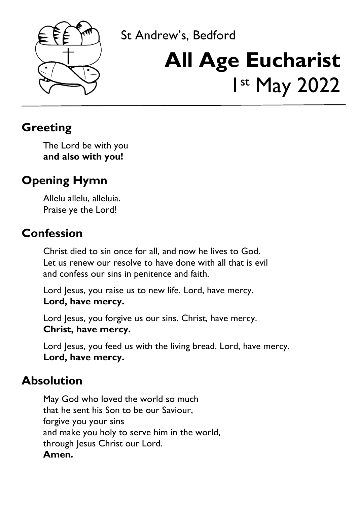

# St Andrew's, Bedford **All Age Eucharist** 1 st May 2022

### **Greeting**

The Lord be with you **and also with you!**

# **Opening Hymn**

Allelu allelu, alleluia. Praise ye the Lord!

### **Confession**

Christ died to sin once for all, and now he lives to God. Let us renew our resolve to have done with all that is evil and confess our sins in penitence and faith.

ury 2017<br>2017 - Paul Barnett, amerikansk politiker<br>2017 - Paul Barnett, amerikansk politiker<br>2017 - Paul Barnett, amerikansk politiker<br>2017 - Paul Barnett, amerikansk politiker<br>2017 - Paul Barnett, amerikansk politiker<br>201

Lord Jesus, you raise us to new life. Lord, have mercy. **Lord, have mercy.**

Lord Jesus, you forgive us our sins. Christ, have mercy. **Christ, have mercy.**

Lord Jesus, you feed us with the living bread. Lord, have mercy. **Lord, have mercy.**

#### **Absolution**

May God who loved the world so much that he sent his Son to be our Saviour, forgive you your sins and make you holy to serve him in the world, through Jesus Christ our Lord. **Amen.**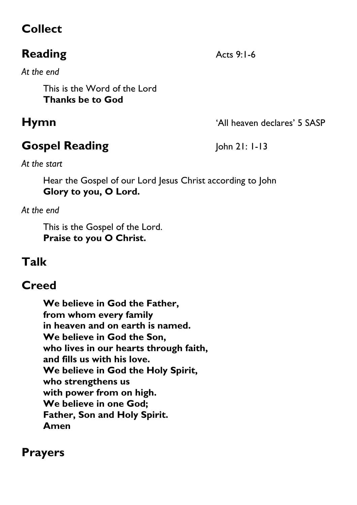# **Collect**

# **Reading** Acts 9:1-6

*At the end*

This is the Word of the Lord **Thanks be to God**

# **Gospel Reading** John 21: 1-13

**Hymn**  $^{\circ}$  **Hymn** 

*At the start*

Hear the Gospel of our Lord Jesus Christ according to John **Glory to you, O Lord.**

*At the end*

This is the Gospel of the Lord. **Praise to you O Christ.**

# **Talk**

### **Creed**

**We believe in God the Father, from whom every family in heaven and on earth is named. We believe in God the Son, who lives in our hearts through faith, and fills us with his love. We believe in God the Holy Spirit, who strengthens us with power from on high. We believe in one God; Father, Son and Holy Spirit. Amen**

#### **Prayers**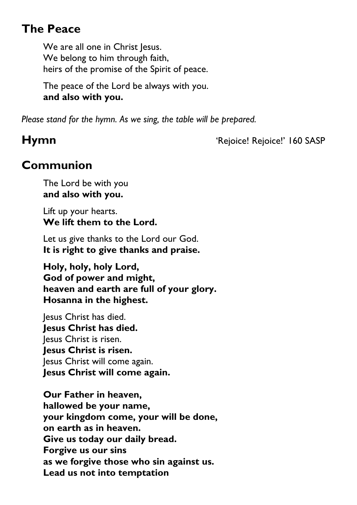# **The Peace**

We are all one in Christ Jesus. We belong to him through faith, heirs of the promise of the Spirit of peace.

The peace of the Lord be always with you. **and also with you.**

*Please stand for the hymn. As we sing, the table will be prepared.*

**Hymn** 'Rejoice! Rejoice!' 160 SASP

# **Communion**

The Lord be with you **and also with you.**

Lift up your hearts. **We lift them to the Lord.**

Let us give thanks to the Lord our God. **It is right to give thanks and praise.**

 **Holy, holy, holy Lord, God of power and might, heaven and earth are full of your glory. Hosanna in the highest.**

Jesus Christ has died.  **Jesus Christ has died.** Jesus Christ is risen.  **Jesus Christ is risen.** Jesus Christ will come again.  **Jesus Christ will come again.**

**Our Father in heaven, hallowed be your name, your kingdom come, your will be done, on earth as in heaven. Give us today our daily bread. Forgive us our sins as we forgive those who sin against us. Lead us not into temptation**